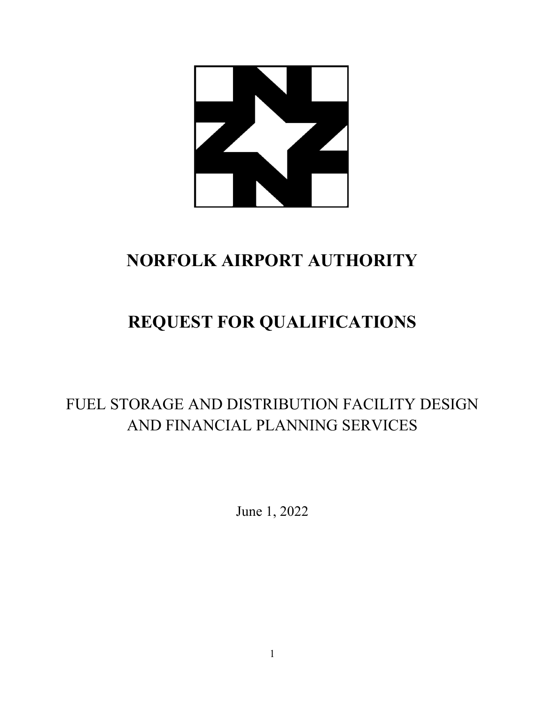

# **NORFOLK AIRPORT AUTHORITY**

# **REQUEST FOR QUALIFICATIONS**

### FUEL STORAGE AND DISTRIBUTION FACILITY DESIGN AND FINANCIAL PLANNING SERVICES

June 1, 2022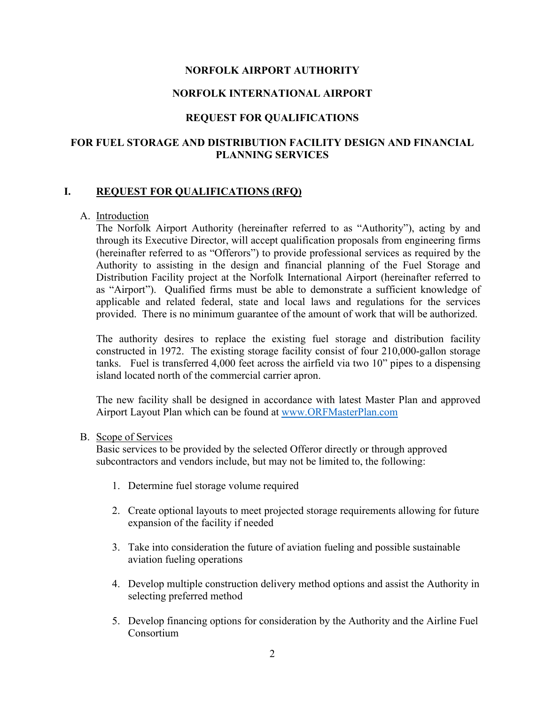### **NORFOLK AIRPORT AUTHORITY**

### **NORFOLK INTERNATIONAL AIRPORT**

### **REQUEST FOR QUALIFICATIONS**

### **FOR FUEL STORAGE AND DISTRIBUTION FACILITY DESIGN AND FINANCIAL PLANNING SERVICES**

### **I. REQUEST FOR QUALIFICATIONS (RFQ)**

### A. Introduction

The Norfolk Airport Authority (hereinafter referred to as "Authority"), acting by and through its Executive Director, will accept qualification proposals from engineering firms (hereinafter referred to as "Offerors") to provide professional services as required by the Authority to assisting in the design and financial planning of the Fuel Storage and Distribution Facility project at the Norfolk International Airport (hereinafter referred to as "Airport"). Qualified firms must be able to demonstrate a sufficient knowledge of applicable and related federal, state and local laws and regulations for the services provided. There is no minimum guarantee of the amount of work that will be authorized.

The authority desires to replace the existing fuel storage and distribution facility constructed in 1972. The existing storage facility consist of four 210,000-gallon storage tanks. Fuel is transferred 4,000 feet across the airfield via two 10" pipes to a dispensing island located north of the commercial carrier apron.

The new facility shall be designed in accordance with latest Master Plan and approved Airport Layout Plan which can be found at [www.ORFMasterPlan.com](http://www.orfmasterplan.com/) 

#### B. Scope of Services

Basic services to be provided by the selected Offeror directly or through approved subcontractors and vendors include, but may not be limited to, the following:

- 1. Determine fuel storage volume required
- 2. Create optional layouts to meet projected storage requirements allowing for future expansion of the facility if needed
- 3. Take into consideration the future of aviation fueling and possible sustainable aviation fueling operations
- 4. Develop multiple construction delivery method options and assist the Authority in selecting preferred method
- 5. Develop financing options for consideration by the Authority and the Airline Fuel Consortium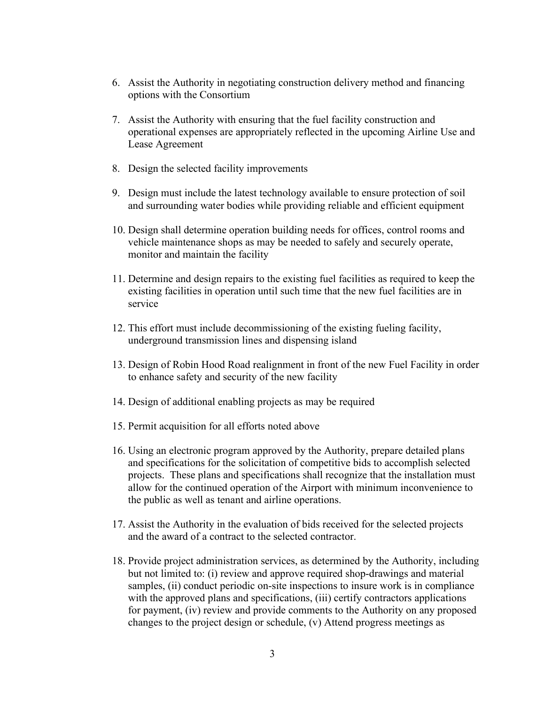- 6. Assist the Authority in negotiating construction delivery method and financing options with the Consortium
- 7. Assist the Authority with ensuring that the fuel facility construction and operational expenses are appropriately reflected in the upcoming Airline Use and Lease Agreement
- 8. Design the selected facility improvements
- 9. Design must include the latest technology available to ensure protection of soil and surrounding water bodies while providing reliable and efficient equipment
- 10. Design shall determine operation building needs for offices, control rooms and vehicle maintenance shops as may be needed to safely and securely operate, monitor and maintain the facility
- 11. Determine and design repairs to the existing fuel facilities as required to keep the existing facilities in operation until such time that the new fuel facilities are in service
- 12. This effort must include decommissioning of the existing fueling facility, underground transmission lines and dispensing island
- 13. Design of Robin Hood Road realignment in front of the new Fuel Facility in order to enhance safety and security of the new facility
- 14. Design of additional enabling projects as may be required
- 15. Permit acquisition for all efforts noted above
- 16. Using an electronic program approved by the Authority, prepare detailed plans and specifications for the solicitation of competitive bids to accomplish selected projects. These plans and specifications shall recognize that the installation must allow for the continued operation of the Airport with minimum inconvenience to the public as well as tenant and airline operations.
- 17. Assist the Authority in the evaluation of bids received for the selected projects and the award of a contract to the selected contractor.
- 18. Provide project administration services, as determined by the Authority, including but not limited to: (i) review and approve required shop-drawings and material samples, (ii) conduct periodic on-site inspections to insure work is in compliance with the approved plans and specifications, (iii) certify contractors applications for payment, (iv) review and provide comments to the Authority on any proposed changes to the project design or schedule, (v) Attend progress meetings as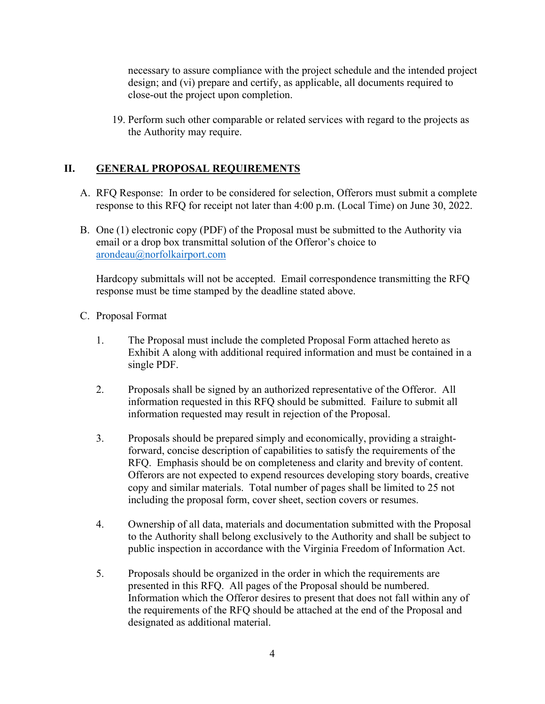necessary to assure compliance with the project schedule and the intended project design; and (vi) prepare and certify, as applicable, all documents required to close-out the project upon completion.

19. Perform such other comparable or related services with regard to the projects as the Authority may require.

### **II. GENERAL PROPOSAL REQUIREMENTS**

- A. RFQ Response: In order to be considered for selection, Offerors must submit a complete response to this RFQ for receipt not later than 4:00 p.m. (Local Time) on June 30, 2022.
- B. One (1) electronic copy (PDF) of the Proposal must be submitted to the Authority via email or a drop box transmittal solution of the Offeror's choice to [arondeau@norfolkairport.com](mailto:arondeau@norfolkairport.com)

Hardcopy submittals will not be accepted. Email correspondence transmitting the RFQ response must be time stamped by the deadline stated above.

- C. Proposal Format
	- 1. The Proposal must include the completed Proposal Form attached hereto as Exhibit A along with additional required information and must be contained in a single PDF.
	- 2. Proposals shall be signed by an authorized representative of the Offeror. All information requested in this RFQ should be submitted. Failure to submit all information requested may result in rejection of the Proposal.
	- 3. Proposals should be prepared simply and economically, providing a straightforward, concise description of capabilities to satisfy the requirements of the RFQ. Emphasis should be on completeness and clarity and brevity of content. Offerors are not expected to expend resources developing story boards, creative copy and similar materials. Total number of pages shall be limited to 25 not including the proposal form, cover sheet, section covers or resumes.
	- 4. Ownership of all data, materials and documentation submitted with the Proposal to the Authority shall belong exclusively to the Authority and shall be subject to public inspection in accordance with the Virginia Freedom of Information Act.
	- 5. Proposals should be organized in the order in which the requirements are presented in this RFQ. All pages of the Proposal should be numbered. Information which the Offeror desires to present that does not fall within any of the requirements of the RFQ should be attached at the end of the Proposal and designated as additional material.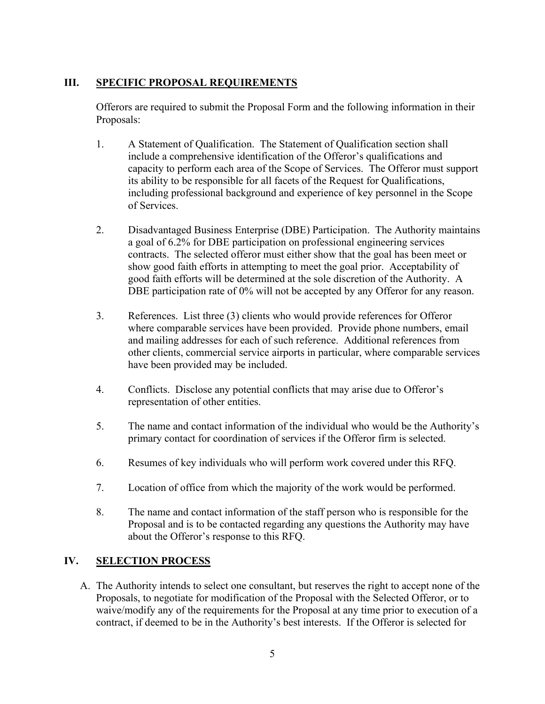### **III. SPECIFIC PROPOSAL REQUIREMENTS**

Offerors are required to submit the Proposal Form and the following information in their Proposals:

- 1. A Statement of Qualification. The Statement of Qualification section shall include a comprehensive identification of the Offeror's qualifications and capacity to perform each area of the Scope of Services. The Offeror must support its ability to be responsible for all facets of the Request for Qualifications, including professional background and experience of key personnel in the Scope of Services.
- 2. Disadvantaged Business Enterprise (DBE) Participation. The Authority maintains a goal of 6.2% for DBE participation on professional engineering services contracts. The selected offeror must either show that the goal has been meet or show good faith efforts in attempting to meet the goal prior. Acceptability of good faith efforts will be determined at the sole discretion of the Authority. A DBE participation rate of 0% will not be accepted by any Offeror for any reason.
- 3. References. List three (3) clients who would provide references for Offeror where comparable services have been provided. Provide phone numbers, email and mailing addresses for each of such reference. Additional references from other clients, commercial service airports in particular, where comparable services have been provided may be included.
- 4. Conflicts. Disclose any potential conflicts that may arise due to Offeror's representation of other entities.
- 5. The name and contact information of the individual who would be the Authority's primary contact for coordination of services if the Offeror firm is selected.
- 6. Resumes of key individuals who will perform work covered under this RFQ.
- 7. Location of office from which the majority of the work would be performed.
- 8. The name and contact information of the staff person who is responsible for the Proposal and is to be contacted regarding any questions the Authority may have about the Offeror's response to this RFQ.

### **IV. SELECTION PROCESS**

A. The Authority intends to select one consultant, but reserves the right to accept none of the Proposals, to negotiate for modification of the Proposal with the Selected Offeror, or to waive/modify any of the requirements for the Proposal at any time prior to execution of a contract, if deemed to be in the Authority's best interests. If the Offeror is selected for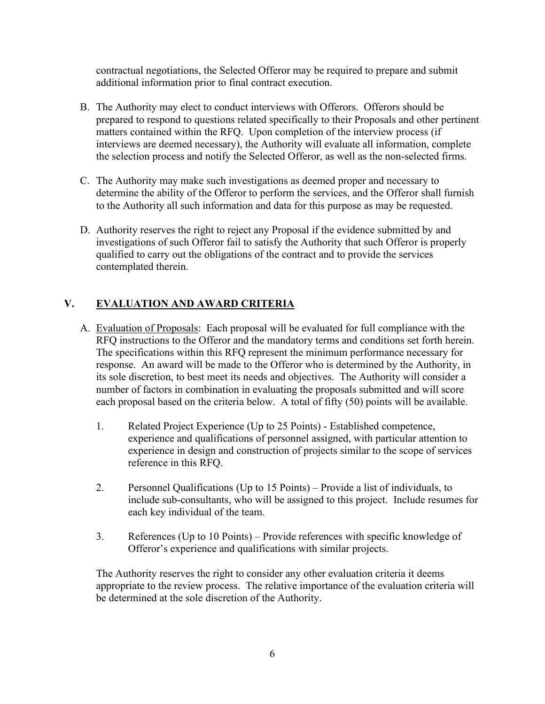contractual negotiations, the Selected Offeror may be required to prepare and submit additional information prior to final contract execution.

- B. The Authority may elect to conduct interviews with Offerors. Offerors should be prepared to respond to questions related specifically to their Proposals and other pertinent matters contained within the RFQ. Upon completion of the interview process (if interviews are deemed necessary), the Authority will evaluate all information, complete the selection process and notify the Selected Offeror, as well as the non-selected firms.
- C. The Authority may make such investigations as deemed proper and necessary to determine the ability of the Offeror to perform the services, and the Offeror shall furnish to the Authority all such information and data for this purpose as may be requested.
- D. Authority reserves the right to reject any Proposal if the evidence submitted by and investigations of such Offeror fail to satisfy the Authority that such Offeror is properly qualified to carry out the obligations of the contract and to provide the services contemplated therein.

### **V. EVALUATION AND AWARD CRITERIA**

- A. Evaluation of Proposals: Each proposal will be evaluated for full compliance with the RFQ instructions to the Offeror and the mandatory terms and conditions set forth herein. The specifications within this RFQ represent the minimum performance necessary for response. An award will be made to the Offeror who is determined by the Authority, in its sole discretion, to best meet its needs and objectives. The Authority will consider a number of factors in combination in evaluating the proposals submitted and will score each proposal based on the criteria below. A total of fifty (50) points will be available.
	- 1. Related Project Experience (Up to 25 Points) Established competence, experience and qualifications of personnel assigned, with particular attention to experience in design and construction of projects similar to the scope of services reference in this RFQ.
	- 2. Personnel Qualifications (Up to 15 Points) Provide a list of individuals, to include sub-consultants, who will be assigned to this project. Include resumes for each key individual of the team.
	- 3. References (Up to 10 Points) Provide references with specific knowledge of Offeror's experience and qualifications with similar projects.

The Authority reserves the right to consider any other evaluation criteria it deems appropriate to the review process. The relative importance of the evaluation criteria will be determined at the sole discretion of the Authority.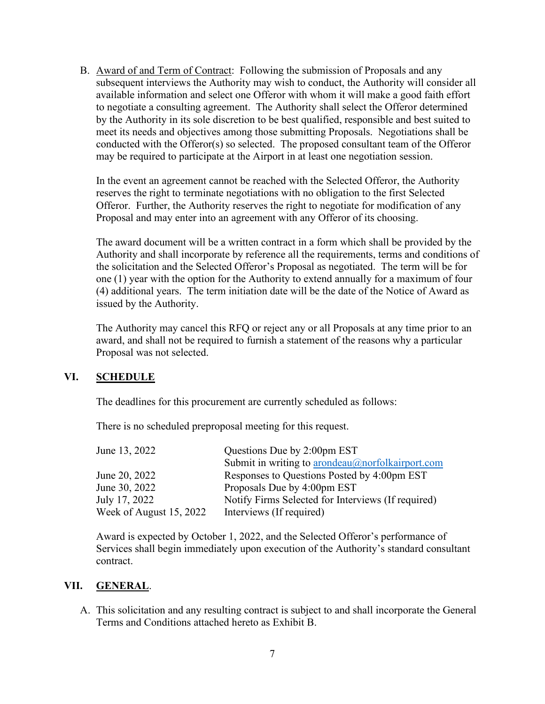B. Award of and Term of Contract: Following the submission of Proposals and any subsequent interviews the Authority may wish to conduct, the Authority will consider all available information and select one Offeror with whom it will make a good faith effort to negotiate a consulting agreement. The Authority shall select the Offeror determined by the Authority in its sole discretion to be best qualified, responsible and best suited to meet its needs and objectives among those submitting Proposals. Negotiations shall be conducted with the Offeror(s) so selected. The proposed consultant team of the Offeror may be required to participate at the Airport in at least one negotiation session.

In the event an agreement cannot be reached with the Selected Offeror, the Authority reserves the right to terminate negotiations with no obligation to the first Selected Offeror. Further, the Authority reserves the right to negotiate for modification of any Proposal and may enter into an agreement with any Offeror of its choosing.

The award document will be a written contract in a form which shall be provided by the Authority and shall incorporate by reference all the requirements, terms and conditions of the solicitation and the Selected Offeror's Proposal as negotiated. The term will be for one (1) year with the option for the Authority to extend annually for a maximum of four (4) additional years. The term initiation date will be the date of the Notice of Award as issued by the Authority.

The Authority may cancel this RFQ or reject any or all Proposals at any time prior to an award, and shall not be required to furnish a statement of the reasons why a particular Proposal was not selected.

### **VI. SCHEDULE**

The deadlines for this procurement are currently scheduled as follows:

There is no scheduled preproposal meeting for this request.

| June 13, 2022           | Questions Due by 2:00pm EST                        |
|-------------------------|----------------------------------------------------|
|                         | Submit in writing to arondeau@norfolkairport.com   |
| June 20, 2022           | Responses to Questions Posted by 4:00pm EST        |
| June 30, 2022           | Proposals Due by 4:00pm EST                        |
| July 17, 2022           | Notify Firms Selected for Interviews (If required) |
| Week of August 15, 2022 | Interviews (If required)                           |

Award is expected by October 1, 2022, and the Selected Offeror's performance of Services shall begin immediately upon execution of the Authority's standard consultant contract.

### **VII. GENERAL**.

A. This solicitation and any resulting contract is subject to and shall incorporate the General Terms and Conditions attached hereto as Exhibit B.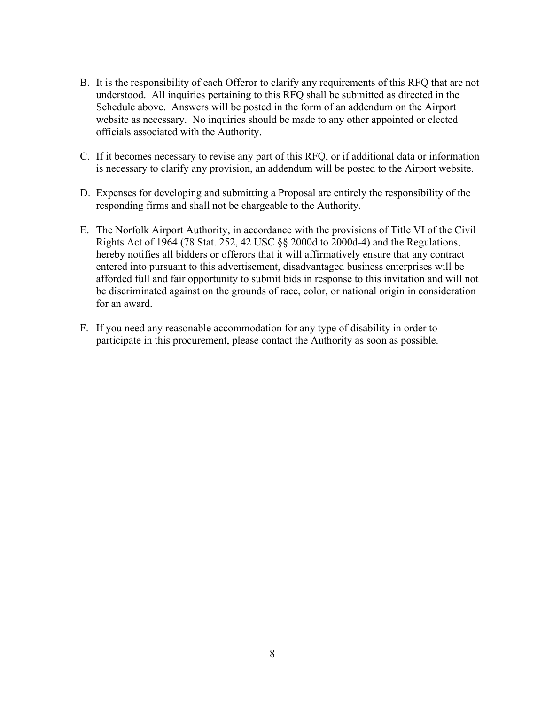- B. It is the responsibility of each Offeror to clarify any requirements of this RFQ that are not understood. All inquiries pertaining to this RFQ shall be submitted as directed in the Schedule above. Answers will be posted in the form of an addendum on the Airport website as necessary. No inquiries should be made to any other appointed or elected officials associated with the Authority.
- C. If it becomes necessary to revise any part of this RFQ, or if additional data or information is necessary to clarify any provision, an addendum will be posted to the Airport website.
- D. Expenses for developing and submitting a Proposal are entirely the responsibility of the responding firms and shall not be chargeable to the Authority.
- E. The Norfolk Airport Authority, in accordance with the provisions of Title VI of the Civil Rights Act of 1964 (78 Stat. 252, 42 USC §§ 2000d to 2000d-4) and the Regulations, hereby notifies all bidders or offerors that it will affirmatively ensure that any contract entered into pursuant to this advertisement, disadvantaged business enterprises will be afforded full and fair opportunity to submit bids in response to this invitation and will not be discriminated against on the grounds of race, color, or national origin in consideration for an award.
- F. If you need any reasonable accommodation for any type of disability in order to participate in this procurement, please contact the Authority as soon as possible.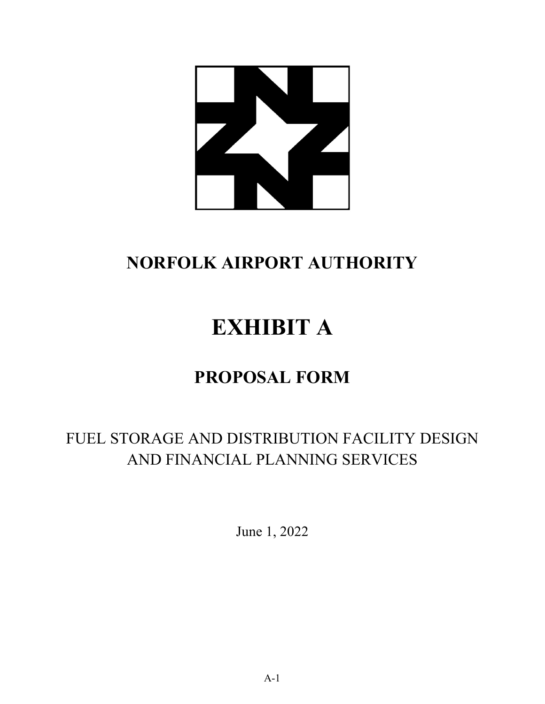

# **NORFOLK AIRPORT AUTHORITY**

# **EXHIBIT A**

# **PROPOSAL FORM**

### FUEL STORAGE AND DISTRIBUTION FACILITY DESIGN AND FINANCIAL PLANNING SERVICES

June 1, 2022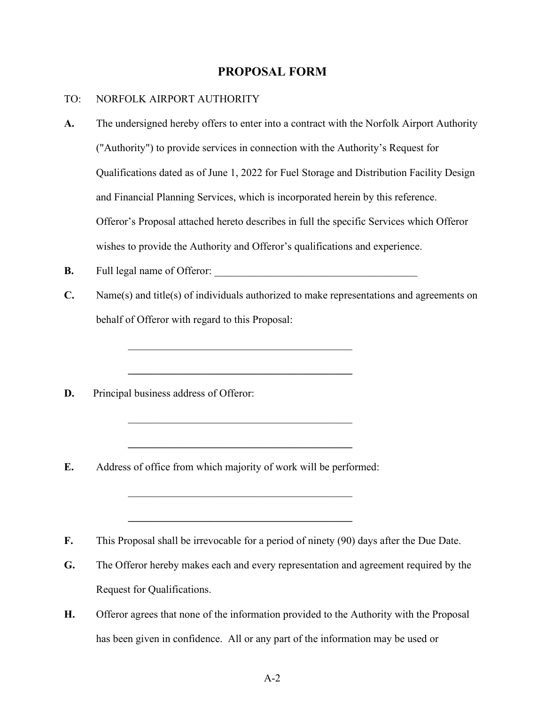### **PROPOSAL FORM**

#### TO: NORFOLK AIRPORT AUTHORITY

- **A.** The undersigned hereby offers to enter into a contract with the Norfolk Airport Authority ("Authority") to provide services in connection with the Authority's Request for Qualifications dated as of June 1, 2022 for Fuel Storage and Distribution Facility Design and Financial Planning Services, which is incorporated herein by this reference. Offeror's Proposal attached hereto describes in full the specific Services which Offeror wishes to provide the Authority and Offeror's qualifications and experience.
- **B.** Full legal name of Offeror: \_\_\_\_\_\_\_\_\_\_\_\_\_\_\_\_\_\_\_\_\_\_\_\_\_\_\_\_\_\_\_\_\_\_\_\_\_\_

**\_\_\_\_\_\_\_\_\_\_\_\_\_\_\_\_\_\_\_\_\_\_\_\_\_\_\_\_\_\_\_\_\_\_\_\_\_\_\_\_\_\_**

 $\mathcal{L}_\mathcal{L}$  , which is a set of the set of the set of the set of the set of the set of the set of the set of the set of the set of the set of the set of the set of the set of the set of the set of the set of the set of

**\_\_\_\_\_\_\_\_\_\_\_\_\_\_\_\_\_\_\_\_\_\_\_\_\_\_\_\_\_\_\_\_\_\_\_\_\_\_\_\_\_\_**

**\_\_\_\_\_\_\_\_\_\_\_\_\_\_\_\_\_\_\_\_\_\_\_\_\_\_\_\_\_\_\_\_\_\_\_\_\_\_\_\_\_\_**

- **C.** Name(s) and title(s) of individuals authorized to make representations and agreements on behalf of Offeror with regard to this Proposal:
- **D.** Principal business address of Offeror:
- **E.** Address of office from which majority of work will be performed:
- **F.** This Proposal shall be irrevocable for a period of ninety (90) days after the Due Date.
- **G.** The Offeror hereby makes each and every representation and agreement required by the Request for Qualifications.
- **H.** Offeror agrees that none of the information provided to the Authority with the Proposal has been given in confidence. All or any part of the information may be used or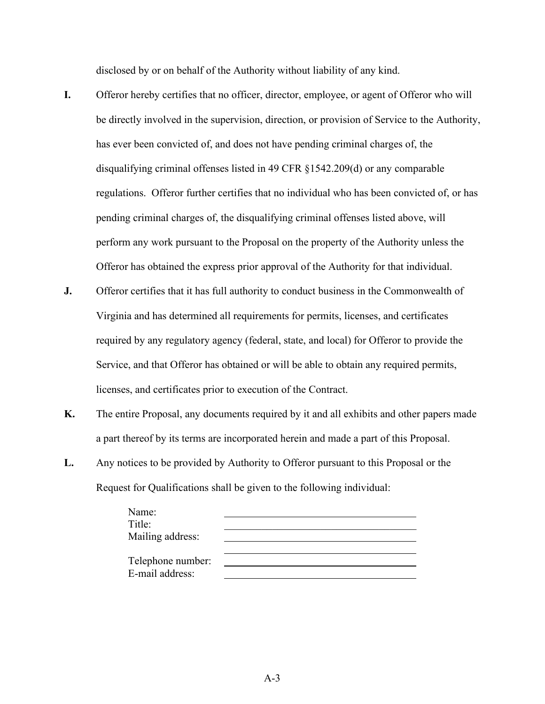disclosed by or on behalf of the Authority without liability of any kind.

- **I.** Offeror hereby certifies that no officer, director, employee, or agent of Offeror who will be directly involved in the supervision, direction, or provision of Service to the Authority, has ever been convicted of, and does not have pending criminal charges of, the disqualifying criminal offenses listed in 49 CFR §1542.209(d) or any comparable regulations. Offeror further certifies that no individual who has been convicted of, or has pending criminal charges of, the disqualifying criminal offenses listed above, will perform any work pursuant to the Proposal on the property of the Authority unless the Offeror has obtained the express prior approval of the Authority for that individual.
- **J.** Offeror certifies that it has full authority to conduct business in the Commonwealth of Virginia and has determined all requirements for permits, licenses, and certificates required by any regulatory agency (federal, state, and local) for Offeror to provide the Service, and that Offeror has obtained or will be able to obtain any required permits, licenses, and certificates prior to execution of the Contract.
- **K.** The entire Proposal, any documents required by it and all exhibits and other papers made a part thereof by its terms are incorporated herein and made a part of this Proposal.
- **L.** Any notices to be provided by Authority to Offeror pursuant to this Proposal or the Request for Qualifications shall be given to the following individual:

| Name:<br>Title:<br>Mailing address:  |  |
|--------------------------------------|--|
|                                      |  |
| Telephone number:<br>E-mail address: |  |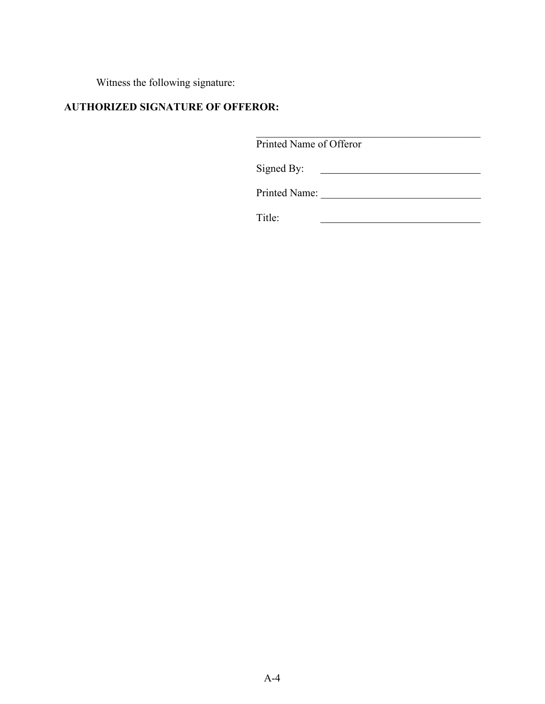Witness the following signature:

### **AUTHORIZED SIGNATURE OF OFFEROR:**

Printed Name of Offeror Signed By: 

 $\mathcal{L}_\mathcal{L}$  , which is a set of the set of the set of the set of the set of the set of the set of the set of the set of the set of the set of the set of the set of the set of the set of the set of the set of the set of

Printed Name: \_\_\_\_\_\_\_\_\_\_\_\_\_\_\_\_\_\_\_\_\_\_\_\_\_\_\_\_\_\_

Title: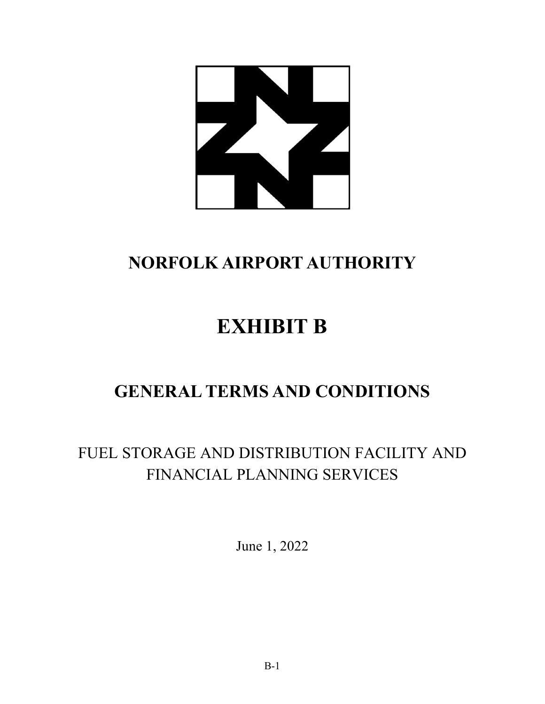

# **NORFOLK AIRPORT AUTHORITY**

# **EXHIBIT B**

# **GENERAL TERMS AND CONDITIONS**

### FUEL STORAGE AND DISTRIBUTION FACILITY AND FINANCIAL PLANNING SERVICES

June 1, 2022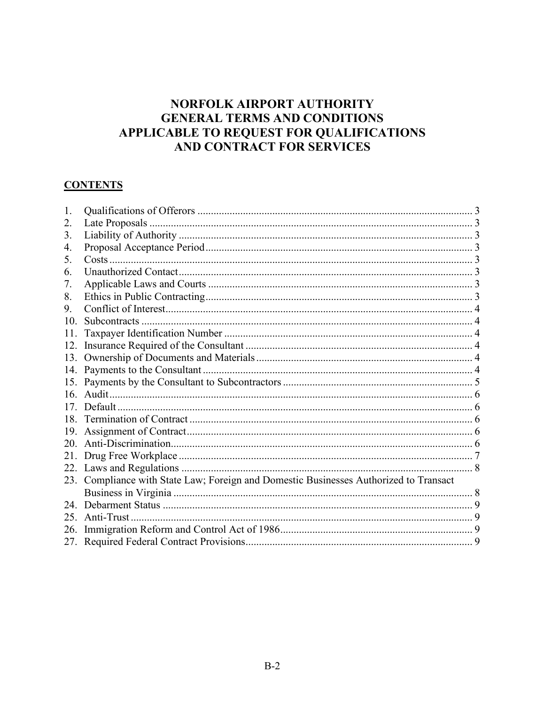### NORFOLK AIRPORT AUTHORITY **GENERAL TERMS AND CONDITIONS** APPLICABLE TO REQUEST FOR QUALIFICATIONS AND CONTRACT FOR SERVICES

### **CONTENTS**

| 1.  |                                                                                       |  |
|-----|---------------------------------------------------------------------------------------|--|
| 2.  |                                                                                       |  |
| 3.  |                                                                                       |  |
| 4.  |                                                                                       |  |
| 5.  |                                                                                       |  |
| 6.  |                                                                                       |  |
| 7.  |                                                                                       |  |
| 8.  |                                                                                       |  |
| 9.  |                                                                                       |  |
| 10. |                                                                                       |  |
| 11. |                                                                                       |  |
| 12. |                                                                                       |  |
|     |                                                                                       |  |
| 14. |                                                                                       |  |
|     |                                                                                       |  |
|     |                                                                                       |  |
|     |                                                                                       |  |
|     |                                                                                       |  |
|     |                                                                                       |  |
| 20. |                                                                                       |  |
| 21. |                                                                                       |  |
|     |                                                                                       |  |
|     | 23. Compliance with State Law; Foreign and Domestic Businesses Authorized to Transact |  |
|     |                                                                                       |  |
|     |                                                                                       |  |
|     |                                                                                       |  |
| 26. |                                                                                       |  |
|     |                                                                                       |  |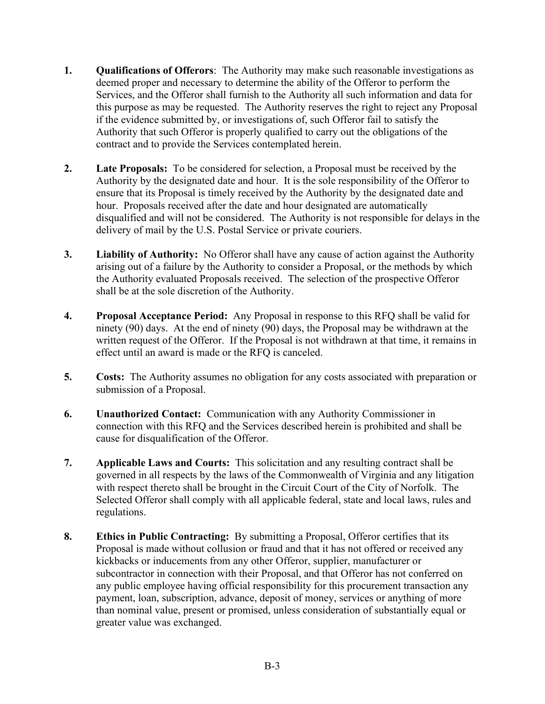- <span id="page-14-0"></span>**1. Qualifications of Offerors**:The Authority may make such reasonable investigations as deemed proper and necessary to determine the ability of the Offeror to perform the Services, and the Offeror shall furnish to the Authority all such information and data for this purpose as may be requested. The Authority reserves the right to reject any Proposal if the evidence submitted by, or investigations of, such Offeror fail to satisfy the Authority that such Offeror is properly qualified to carry out the obligations of the contract and to provide the Services contemplated herein.
- <span id="page-14-1"></span>**2. Late Proposals:** To be considered for selection, a Proposal must be received by the Authority by the designated date and hour. It is the sole responsibility of the Offeror to ensure that its Proposal is timely received by the Authority by the designated date and hour. Proposals received after the date and hour designated are automatically disqualified and will not be considered. The Authority is not responsible for delays in the delivery of mail by the U.S. Postal Service or private couriers.
- <span id="page-14-2"></span>**3. Liability of Authority:** No Offeror shall have any cause of action against the Authority arising out of a failure by the Authority to consider a Proposal, or the methods by which the Authority evaluated Proposals received. The selection of the prospective Offeror shall be at the sole discretion of the Authority.
- <span id="page-14-3"></span>**4. Proposal Acceptance Period:** Any Proposal in response to this RFQ shall be valid for ninety (90) days. At the end of ninety (90) days, the Proposal may be withdrawn at the written request of the Offeror. If the Proposal is not withdrawn at that time, it remains in effect until an award is made or the RFQ is canceled.
- <span id="page-14-4"></span>**5. Costs:** The Authority assumes no obligation for any costs associated with preparation or submission of a Proposal.
- <span id="page-14-5"></span>**6. Unauthorized Contact:** Communication with any Authority Commissioner in connection with this RFQ and the Services described herein is prohibited and shall be cause for disqualification of the Offeror.
- <span id="page-14-6"></span>**7. Applicable Laws and Courts:** This solicitation and any resulting contract shall be governed in all respects by the laws of the Commonwealth of Virginia and any litigation with respect thereto shall be brought in the Circuit Court of the City of Norfolk. The Selected Offeror shall comply with all applicable federal, state and local laws, rules and regulations.
- <span id="page-14-7"></span>**8. Ethics in Public Contracting:** By submitting a Proposal, Offeror certifies that its Proposal is made without collusion or fraud and that it has not offered or received any kickbacks or inducements from any other Offeror, supplier, manufacturer or subcontractor in connection with their Proposal, and that Offeror has not conferred on any public employee having official responsibility for this procurement transaction any payment, loan, subscription, advance, deposit of money, services or anything of more than nominal value, present or promised, unless consideration of substantially equal or greater value was exchanged.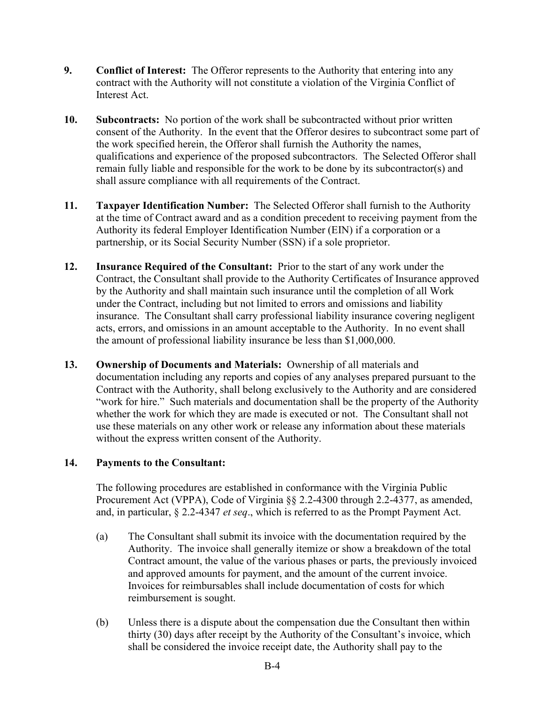- <span id="page-15-0"></span>**9. Conflict of Interest:** The Offeror represents to the Authority that entering into any contract with the Authority will not constitute a violation of the Virginia Conflict of Interest Act.
- <span id="page-15-1"></span>**10. Subcontracts:** No portion of the work shall be subcontracted without prior written consent of the Authority. In the event that the Offeror desires to subcontract some part of the work specified herein, the Offeror shall furnish the Authority the names, qualifications and experience of the proposed subcontractors. The Selected Offeror shall remain fully liable and responsible for the work to be done by its subcontractor(s) and shall assure compliance with all requirements of the Contract.
- <span id="page-15-2"></span>**11. Taxpayer Identification Number:** The Selected Offeror shall furnish to the Authority at the time of Contract award and as a condition precedent to receiving payment from the Authority its federal Employer Identification Number (EIN) if a corporation or a partnership, or its Social Security Number (SSN) if a sole proprietor.
- <span id="page-15-3"></span>**12. Insurance Required of the Consultant:** Prior to the start of any work under the Contract, the Consultant shall provide to the Authority Certificates of Insurance approved by the Authority and shall maintain such insurance until the completion of all Work under the Contract, including but not limited to errors and omissions and liability insurance. The Consultant shall carry professional liability insurance covering negligent acts, errors, and omissions in an amount acceptable to the Authority. In no event shall the amount of professional liability insurance be less than \$1,000,000.
- <span id="page-15-4"></span>**13. Ownership of Documents and Materials:** Ownership of all materials and documentation including any reports and copies of any analyses prepared pursuant to the Contract with the Authority, shall belong exclusively to the Authority and are considered "work for hire." Such materials and documentation shall be the property of the Authority whether the work for which they are made is executed or not. The Consultant shall not use these materials on any other work or release any information about these materials without the express written consent of the Authority.

### <span id="page-15-5"></span>**14. Payments to the Consultant:**

The following procedures are established in conformance with the Virginia Public Procurement Act (VPPA), Code of Virginia §§ 2.2-4300 through 2.2-4377, as amended, and, in particular, § 2.2-4347 *et seq*., which is referred to as the Prompt Payment Act.

- (a) The Consultant shall submit its invoice with the documentation required by the Authority. The invoice shall generally itemize or show a breakdown of the total Contract amount, the value of the various phases or parts, the previously invoiced and approved amounts for payment, and the amount of the current invoice. Invoices for reimbursables shall include documentation of costs for which reimbursement is sought.
- (b) Unless there is a dispute about the compensation due the Consultant then within thirty (30) days after receipt by the Authority of the Consultant's invoice, which shall be considered the invoice receipt date, the Authority shall pay to the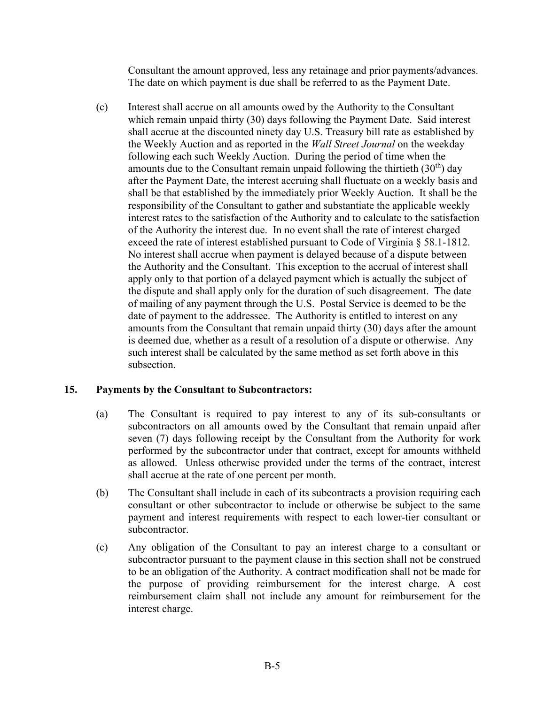Consultant the amount approved, less any retainage and prior payments/advances. The date on which payment is due shall be referred to as the Payment Date.

(c) Interest shall accrue on all amounts owed by the Authority to the Consultant which remain unpaid thirty (30) days following the Payment Date. Said interest shall accrue at the discounted ninety day U.S. Treasury bill rate as established by the Weekly Auction and as reported in the *Wall Street Journal* on the weekday following each such Weekly Auction. During the period of time when the amounts due to the Consultant remain unpaid following the thirtieth  $(30<sup>th</sup>)$  day after the Payment Date, the interest accruing shall fluctuate on a weekly basis and shall be that established by the immediately prior Weekly Auction. It shall be the responsibility of the Consultant to gather and substantiate the applicable weekly interest rates to the satisfaction of the Authority and to calculate to the satisfaction of the Authority the interest due. In no event shall the rate of interest charged exceed the rate of interest established pursuant to Code of Virginia § 58.1-1812. No interest shall accrue when payment is delayed because of a dispute between the Authority and the Consultant. This exception to the accrual of interest shall apply only to that portion of a delayed payment which is actually the subject of the dispute and shall apply only for the duration of such disagreement. The date of mailing of any payment through the U.S. Postal Service is deemed to be the date of payment to the addressee. The Authority is entitled to interest on any amounts from the Consultant that remain unpaid thirty (30) days after the amount is deemed due, whether as a result of a resolution of a dispute or otherwise. Any such interest shall be calculated by the same method as set forth above in this subsection.

### <span id="page-16-0"></span>**15. Payments by the Consultant to Subcontractors:**

- (a) The Consultant is required to pay interest to any of its sub-consultants or subcontractors on all amounts owed by the Consultant that remain unpaid after seven (7) days following receipt by the Consultant from the Authority for work performed by the subcontractor under that contract, except for amounts withheld as allowed. Unless otherwise provided under the terms of the contract, interest shall accrue at the rate of one percent per month.
- (b) The Consultant shall include in each of its subcontracts a provision requiring each consultant or other subcontractor to include or otherwise be subject to the same payment and interest requirements with respect to each lower-tier consultant or subcontractor.
- (c) Any obligation of the Consultant to pay an interest charge to a consultant or subcontractor pursuant to the payment clause in this section shall not be construed to be an obligation of the Authority. A contract modification shall not be made for the purpose of providing reimbursement for the interest charge. A cost reimbursement claim shall not include any amount for reimbursement for the interest charge.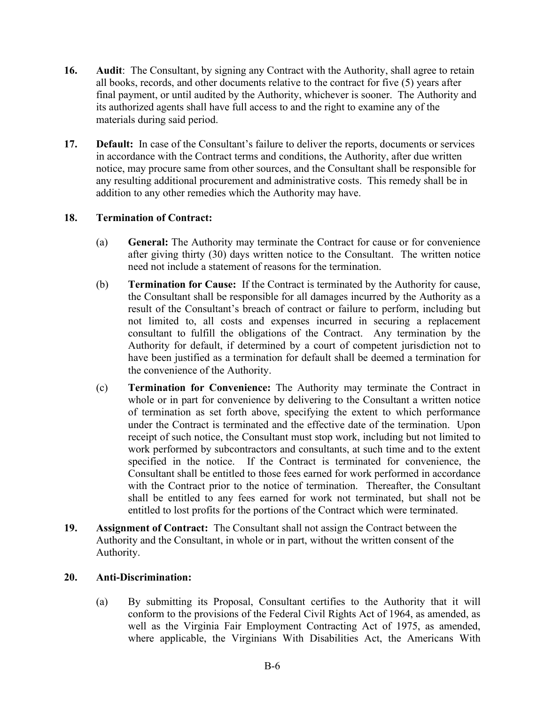- <span id="page-17-0"></span>**16. Audit:** The Consultant, by signing any Contract with the Authority, shall agree to retain all books, records, and other documents relative to the contract for five (5) years after final payment, or until audited by the Authority, whichever is sooner. The Authority and its authorized agents shall have full access to and the right to examine any of the materials during said period.
- <span id="page-17-1"></span>**17. Default:** In case of the Consultant's failure to deliver the reports, documents or services in accordance with the Contract terms and conditions, the Authority, after due written notice, may procure same from other sources, and the Consultant shall be responsible for any resulting additional procurement and administrative costs. This remedy shall be in addition to any other remedies which the Authority may have.

### <span id="page-17-2"></span>**18. Termination of Contract:**

- (a) **General:** The Authority may terminate the Contract for cause or for convenience after giving thirty (30) days written notice to the Consultant. The written notice need not include a statement of reasons for the termination.
- (b) **Termination for Cause:** If the Contract is terminated by the Authority for cause, the Consultant shall be responsible for all damages incurred by the Authority as a result of the Consultant's breach of contract or failure to perform, including but not limited to, all costs and expenses incurred in securing a replacement consultant to fulfill the obligations of the Contract. Any termination by the Authority for default, if determined by a court of competent jurisdiction not to have been justified as a termination for default shall be deemed a termination for the convenience of the Authority.
- (c) **Termination for Convenience:** The Authority may terminate the Contract in whole or in part for convenience by delivering to the Consultant a written notice of termination as set forth above, specifying the extent to which performance under the Contract is terminated and the effective date of the termination. Upon receipt of such notice, the Consultant must stop work, including but not limited to work performed by subcontractors and consultants, at such time and to the extent specified in the notice. If the Contract is terminated for convenience, the Consultant shall be entitled to those fees earned for work performed in accordance with the Contract prior to the notice of termination. Thereafter, the Consultant shall be entitled to any fees earned for work not terminated, but shall not be entitled to lost profits for the portions of the Contract which were terminated.
- <span id="page-17-3"></span>**19. Assignment of Contract:** The Consultant shall not assign the Contract between the Authority and the Consultant, in whole or in part, without the written consent of the Authority.

### <span id="page-17-4"></span>**20. Anti-Discrimination:**

(a) By submitting its Proposal, Consultant certifies to the Authority that it will conform to the provisions of the Federal Civil Rights Act of 1964, as amended, as well as the Virginia Fair Employment Contracting Act of 1975, as amended, where applicable, the Virginians With Disabilities Act, the Americans With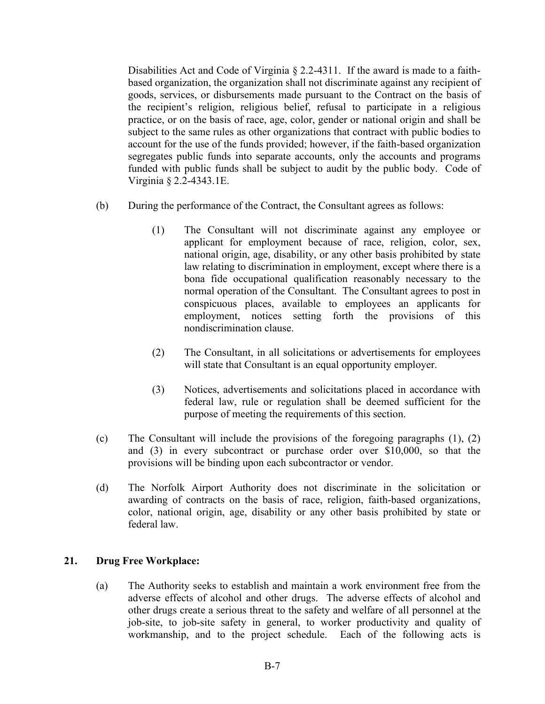Disabilities Act and Code of Virginia § 2.2-4311. If the award is made to a faithbased organization, the organization shall not discriminate against any recipient of goods, services, or disbursements made pursuant to the Contract on the basis of the recipient's religion, religious belief, refusal to participate in a religious practice, or on the basis of race, age, color, gender or national origin and shall be subject to the same rules as other organizations that contract with public bodies to account for the use of the funds provided; however, if the faith-based organization segregates public funds into separate accounts, only the accounts and programs funded with public funds shall be subject to audit by the public body. Code of Virginia § 2.2-4343.1E.

- (b) During the performance of the Contract, the Consultant agrees as follows:
	- (1) The Consultant will not discriminate against any employee or applicant for employment because of race, religion, color, sex, national origin, age, disability, or any other basis prohibited by state law relating to discrimination in employment, except where there is a bona fide occupational qualification reasonably necessary to the normal operation of the Consultant. The Consultant agrees to post in conspicuous places, available to employees an applicants for employment, notices setting forth the provisions of this nondiscrimination clause.
	- (2) The Consultant, in all solicitations or advertisements for employees will state that Consultant is an equal opportunity employer.
	- (3) Notices, advertisements and solicitations placed in accordance with federal law, rule or regulation shall be deemed sufficient for the purpose of meeting the requirements of this section.
- (c) The Consultant will include the provisions of the foregoing paragraphs (1), (2) and (3) in every subcontract or purchase order over \$10,000, so that the provisions will be binding upon each subcontractor or vendor.
- (d) The Norfolk Airport Authority does not discriminate in the solicitation or awarding of contracts on the basis of race, religion, faith-based organizations, color, national origin, age, disability or any other basis prohibited by state or federal law.

### **21. Drug Free Workplace:**

(a) The Authority seeks to establish and maintain a work environment free from the adverse effects of alcohol and other drugs. The adverse effects of alcohol and other drugs create a serious threat to the safety and welfare of all personnel at the job-site, to job-site safety in general, to worker productivity and quality of workmanship, and to the project schedule. Each of the following acts is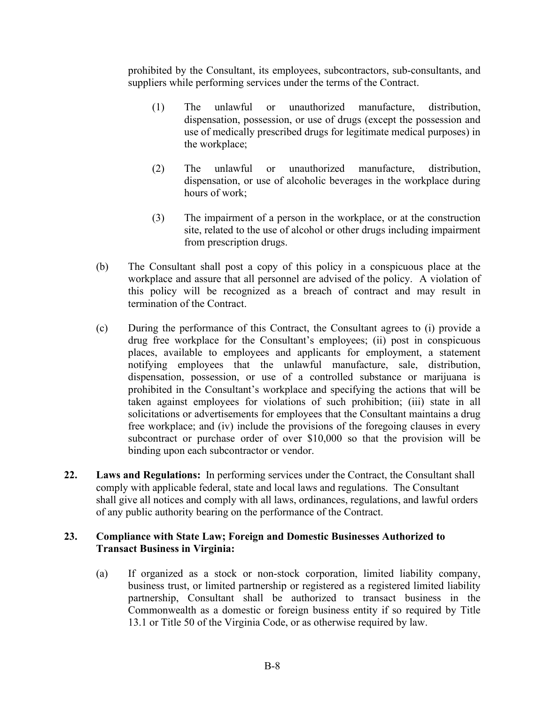prohibited by the Consultant, its employees, subcontractors, sub-consultants, and suppliers while performing services under the terms of the Contract.

- (1) The unlawful or unauthorized manufacture, distribution, dispensation, possession, or use of drugs (except the possession and use of medically prescribed drugs for legitimate medical purposes) in the workplace;
- (2) The unlawful or unauthorized manufacture, distribution, dispensation, or use of alcoholic beverages in the workplace during hours of work;
- (3) The impairment of a person in the workplace, or at the construction site, related to the use of alcohol or other drugs including impairment from prescription drugs.
- (b) The Consultant shall post a copy of this policy in a conspicuous place at the workplace and assure that all personnel are advised of the policy. A violation of this policy will be recognized as a breach of contract and may result in termination of the Contract.
- (c) During the performance of this Contract, the Consultant agrees to (i) provide a drug free workplace for the Consultant's employees; (ii) post in conspicuous places, available to employees and applicants for employment, a statement notifying employees that the unlawful manufacture, sale, distribution, dispensation, possession, or use of a controlled substance or marijuana is prohibited in the Consultant's workplace and specifying the actions that will be taken against employees for violations of such prohibition; (iii) state in all solicitations or advertisements for employees that the Consultant maintains a drug free workplace; and (iv) include the provisions of the foregoing clauses in every subcontract or purchase order of over \$10,000 so that the provision will be binding upon each subcontractor or vendor.
- <span id="page-19-0"></span>**22. Laws and Regulations:** In performing services under the Contract, the Consultant shall comply with applicable federal, state and local laws and regulations. The Consultant shall give all notices and comply with all laws, ordinances, regulations, and lawful orders of any public authority bearing on the performance of the Contract.

### <span id="page-19-1"></span>**23. Compliance with State Law; Foreign and Domestic Businesses Authorized to Transact Business in Virginia:**

(a) If organized as a stock or non-stock corporation, limited liability company, business trust, or limited partnership or registered as a registered limited liability partnership, Consultant shall be authorized to transact business in the Commonwealth as a domestic or foreign business entity if so required by Title 13.1 or Title 50 of the Virginia Code, or as otherwise required by law.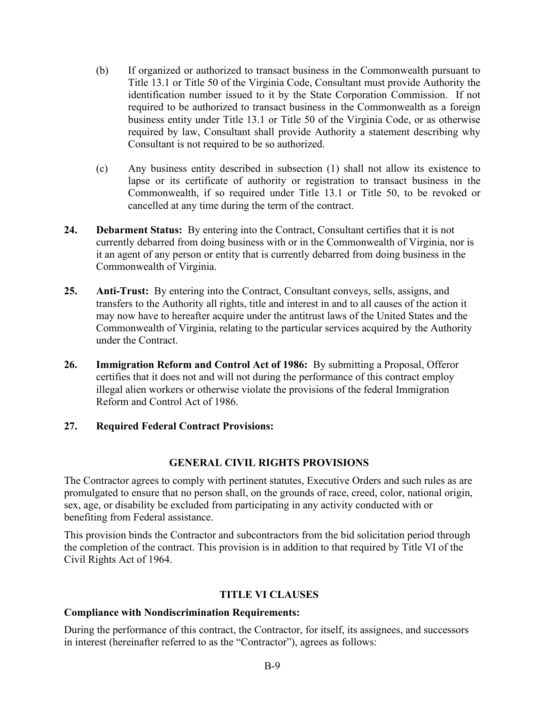- (b) If organized or authorized to transact business in the Commonwealth pursuant to Title 13.1 or Title 50 of the Virginia Code, Consultant must provide Authority the identification number issued to it by the State Corporation Commission. If not required to be authorized to transact business in the Commonwealth as a foreign business entity under Title 13.1 or Title 50 of the Virginia Code, or as otherwise required by law, Consultant shall provide Authority a statement describing why Consultant is not required to be so authorized.
- (c) Any business entity described in subsection (1) shall not allow its existence to lapse or its certificate of authority or registration to transact business in the Commonwealth, if so required under Title 13.1 or Title 50, to be revoked or cancelled at any time during the term of the contract.
- <span id="page-20-0"></span>**24. Debarment Status:** By entering into the Contract, Consultant certifies that it is not currently debarred from doing business with or in the Commonwealth of Virginia, nor is it an agent of any person or entity that is currently debarred from doing business in the Commonwealth of Virginia.
- <span id="page-20-1"></span>**25. Anti-Trust:** By entering into the Contract, Consultant conveys, sells, assigns, and transfers to the Authority all rights, title and interest in and to all causes of the action it may now have to hereafter acquire under the antitrust laws of the United States and the Commonwealth of Virginia, relating to the particular services acquired by the Authority under the Contract.
- <span id="page-20-2"></span>**26. Immigration Reform and Control Act of 1986:** By submitting a Proposal, Offeror certifies that it does not and will not during the performance of this contract employ illegal alien workers or otherwise violate the provisions of the federal Immigration Reform and Control Act of 1986.

### **27. Required Federal Contract Provisions:**

### **GENERAL CIVIL RIGHTS PROVISIONS**

The Contractor agrees to comply with pertinent statutes, Executive Orders and such rules as are promulgated to ensure that no person shall, on the grounds of race, creed, color, national origin, sex, age, or disability be excluded from participating in any activity conducted with or benefiting from Federal assistance.

This provision binds the Contractor and subcontractors from the bid solicitation period through the completion of the contract. This provision is in addition to that required by Title VI of the Civil Rights Act of 1964.

### **TITLE VI CLAUSES**

### **Compliance with Nondiscrimination Requirements:**

During the performance of this contract, the Contractor, for itself, its assignees, and successors in interest (hereinafter referred to as the "Contractor"), agrees as follows: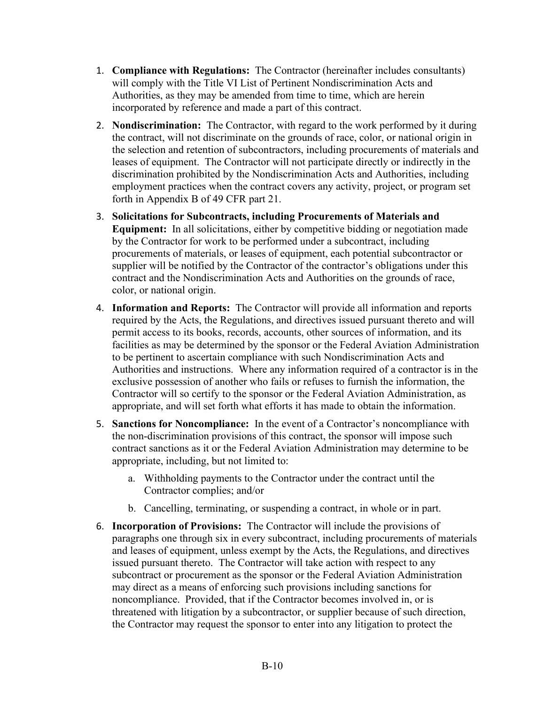- 1. **Compliance with Regulations:** The Contractor (hereinafter includes consultants) will comply with the Title VI List of Pertinent Nondiscrimination Acts and Authorities, as they may be amended from time to time, which are herein incorporated by reference and made a part of this contract.
- 2. **Nondiscrimination:** The Contractor, with regard to the work performed by it during the contract, will not discriminate on the grounds of race, color, or national origin in the selection and retention of subcontractors, including procurements of materials and leases of equipment. The Contractor will not participate directly or indirectly in the discrimination prohibited by the Nondiscrimination Acts and Authorities, including employment practices when the contract covers any activity, project, or program set forth in Appendix B of 49 CFR part 21.
- 3. **Solicitations for Subcontracts, including Procurements of Materials and Equipment:** In all solicitations, either by competitive bidding or negotiation made by the Contractor for work to be performed under a subcontract, including procurements of materials, or leases of equipment, each potential subcontractor or supplier will be notified by the Contractor of the contractor's obligations under this contract and the Nondiscrimination Acts and Authorities on the grounds of race, color, or national origin.
- 4. **Information and Reports:** The Contractor will provide all information and reports required by the Acts, the Regulations, and directives issued pursuant thereto and will permit access to its books, records, accounts, other sources of information, and its facilities as may be determined by the sponsor or the Federal Aviation Administration to be pertinent to ascertain compliance with such Nondiscrimination Acts and Authorities and instructions. Where any information required of a contractor is in the exclusive possession of another who fails or refuses to furnish the information, the Contractor will so certify to the sponsor or the Federal Aviation Administration, as appropriate, and will set forth what efforts it has made to obtain the information.
- 5. **Sanctions for Noncompliance:** In the event of a Contractor's noncompliance with the non-discrimination provisions of this contract, the sponsor will impose such contract sanctions as it or the Federal Aviation Administration may determine to be appropriate, including, but not limited to:
	- a. Withholding payments to the Contractor under the contract until the Contractor complies; and/or
	- b. Cancelling, terminating, or suspending a contract, in whole or in part.
- 6. **Incorporation of Provisions:** The Contractor will include the provisions of paragraphs one through six in every subcontract, including procurements of materials and leases of equipment, unless exempt by the Acts, the Regulations, and directives issued pursuant thereto. The Contractor will take action with respect to any subcontract or procurement as the sponsor or the Federal Aviation Administration may direct as a means of enforcing such provisions including sanctions for noncompliance. Provided, that if the Contractor becomes involved in, or is threatened with litigation by a subcontractor, or supplier because of such direction, the Contractor may request the sponsor to enter into any litigation to protect the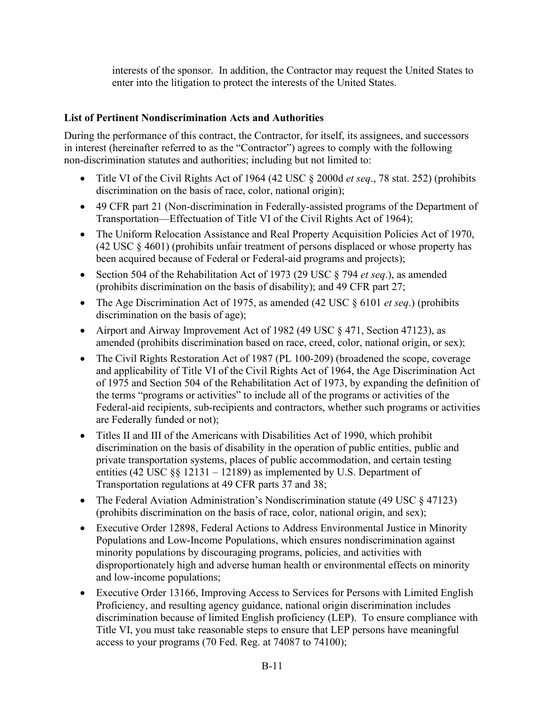interests of the sponsor. In addition, the Contractor may request the United States to enter into the litigation to protect the interests of the United States.

### **List of Pertinent Nondiscrimination Acts and Authorities**

During the performance of this contract, the Contractor, for itself, its assignees, and successors in interest (hereinafter referred to as the "Contractor") agrees to comply with the following non-discrimination statutes and authorities; including but not limited to:

- Title VI of the Civil Rights Act of 1964 (42 USC § 2000d *et seq*., 78 stat. 252) (prohibits discrimination on the basis of race, color, national origin);
- 49 CFR part 21 (Non-discrimination in Federally-assisted programs of the Department of Transportation—Effectuation of Title VI of the Civil Rights Act of 1964);
- The Uniform Relocation Assistance and Real Property Acquisition Policies Act of 1970, (42 USC § 4601) (prohibits unfair treatment of persons displaced or whose property has been acquired because of Federal or Federal-aid programs and projects);
- Section 504 of the Rehabilitation Act of 1973 (29 USC § 794 *et seq*.), as amended (prohibits discrimination on the basis of disability); and 49 CFR part 27;
- The Age Discrimination Act of 1975, as amended (42 USC § 6101 *et seq*.) (prohibits discrimination on the basis of age);
- Airport and Airway Improvement Act of 1982 (49 USC § 471, Section 47123), as amended (prohibits discrimination based on race, creed, color, national origin, or sex);
- The Civil Rights Restoration Act of 1987 (PL 100-209) (broadened the scope, coverage and applicability of Title VI of the Civil Rights Act of 1964, the Age Discrimination Act of 1975 and Section 504 of the Rehabilitation Act of 1973, by expanding the definition of the terms "programs or activities" to include all of the programs or activities of the Federal-aid recipients, sub-recipients and contractors, whether such programs or activities are Federally funded or not);
- Titles II and III of the Americans with Disabilities Act of 1990, which prohibit discrimination on the basis of disability in the operation of public entities, public and private transportation systems, places of public accommodation, and certain testing entities (42 USC §§ 12131 – 12189) as implemented by U.S. Department of Transportation regulations at 49 CFR parts 37 and 38;
- The Federal Aviation Administration's Nondiscrimination statute (49 USC § 47123) (prohibits discrimination on the basis of race, color, national origin, and sex);
- Executive Order 12898, Federal Actions to Address Environmental Justice in Minority Populations and Low-Income Populations, which ensures nondiscrimination against minority populations by discouraging programs, policies, and activities with disproportionately high and adverse human health or environmental effects on minority and low-income populations;
- Executive Order 13166, Improving Access to Services for Persons with Limited English Proficiency, and resulting agency guidance, national origin discrimination includes discrimination because of limited English proficiency (LEP). To ensure compliance with Title VI, you must take reasonable steps to ensure that LEP persons have meaningful access to your programs (70 Fed. Reg. at 74087 to 74100);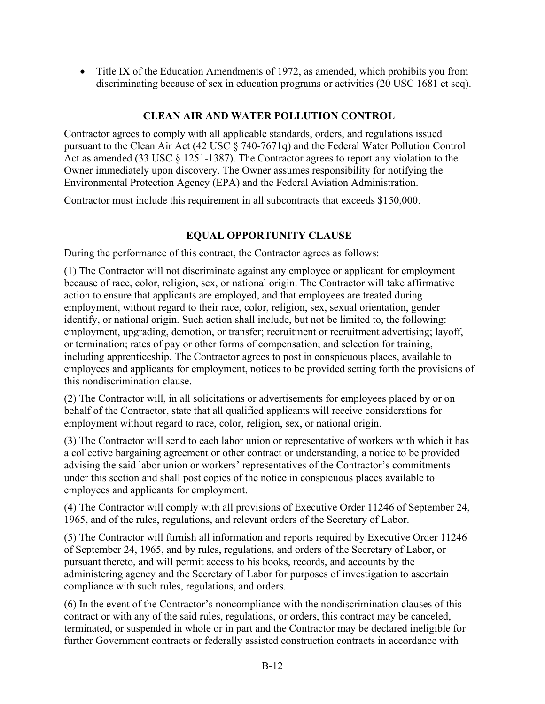• Title IX of the Education Amendments of 1972, as amended, which prohibits you from discriminating because of sex in education programs or activities (20 USC 1681 et seq).

### **CLEAN AIR AND WATER POLLUTION CONTROL**

Contractor agrees to comply with all applicable standards, orders, and regulations issued pursuant to the Clean Air Act (42 USC § 740-7671q) and the Federal Water Pollution Control Act as amended (33 USC § 1251-1387). The Contractor agrees to report any violation to the Owner immediately upon discovery. The Owner assumes responsibility for notifying the Environmental Protection Agency (EPA) and the Federal Aviation Administration.

Contractor must include this requirement in all subcontracts that exceeds \$150,000.

### **EQUAL OPPORTUNITY CLAUSE**

During the performance of this contract, the Contractor agrees as follows:

(1) The Contractor will not discriminate against any employee or applicant for employment because of race, color, religion, sex, or national origin. The Contractor will take affirmative action to ensure that applicants are employed, and that employees are treated during employment, without regard to their race, color, religion, sex, sexual orientation, gender identify, or national origin. Such action shall include, but not be limited to, the following: employment, upgrading, demotion, or transfer; recruitment or recruitment advertising; layoff, or termination; rates of pay or other forms of compensation; and selection for training, including apprenticeship. The Contractor agrees to post in conspicuous places, available to employees and applicants for employment, notices to be provided setting forth the provisions of this nondiscrimination clause.

(2) The Contractor will, in all solicitations or advertisements for employees placed by or on behalf of the Contractor, state that all qualified applicants will receive considerations for employment without regard to race, color, religion, sex, or national origin.

(3) The Contractor will send to each labor union or representative of workers with which it has a collective bargaining agreement or other contract or understanding, a notice to be provided advising the said labor union or workers' representatives of the Contractor's commitments under this section and shall post copies of the notice in conspicuous places available to employees and applicants for employment.

(4) The Contractor will comply with all provisions of Executive Order 11246 of September 24, 1965, and of the rules, regulations, and relevant orders of the Secretary of Labor.

(5) The Contractor will furnish all information and reports required by Executive Order 11246 of September 24, 1965, and by rules, regulations, and orders of the Secretary of Labor, or pursuant thereto, and will permit access to his books, records, and accounts by the administering agency and the Secretary of Labor for purposes of investigation to ascertain compliance with such rules, regulations, and orders.

(6) In the event of the Contractor's noncompliance with the nondiscrimination clauses of this contract or with any of the said rules, regulations, or orders, this contract may be canceled, terminated, or suspended in whole or in part and the Contractor may be declared ineligible for further Government contracts or federally assisted construction contracts in accordance with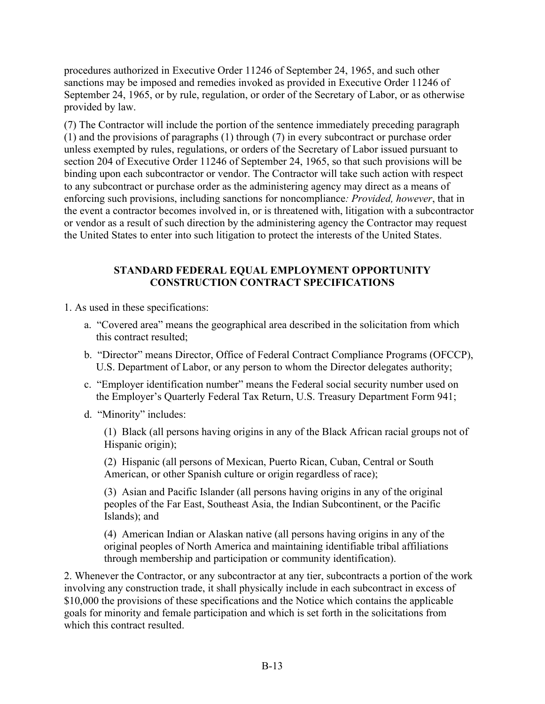procedures authorized in Executive Order 11246 of September 24, 1965, and such other sanctions may be imposed and remedies invoked as provided in Executive Order 11246 of September 24, 1965, or by rule, regulation, or order of the Secretary of Labor, or as otherwise provided by law.

(7) The Contractor will include the portion of the sentence immediately preceding paragraph (1) and the provisions of paragraphs (1) through (7) in every subcontract or purchase order unless exempted by rules, regulations, or orders of the Secretary of Labor issued pursuant to section 204 of Executive Order 11246 of September 24, 1965, so that such provisions will be binding upon each subcontractor or vendor. The Contractor will take such action with respect to any subcontract or purchase order as the administering agency may direct as a means of enforcing such provisions, including sanctions for noncompliance*: Provided, however*, that in the event a contractor becomes involved in, or is threatened with, litigation with a subcontractor or vendor as a result of such direction by the administering agency the Contractor may request the United States to enter into such litigation to protect the interests of the United States.

### **STANDARD FEDERAL EQUAL EMPLOYMENT OPPORTUNITY CONSTRUCTION CONTRACT SPECIFICATIONS**

1. As used in these specifications:

- a. "Covered area" means the geographical area described in the solicitation from which this contract resulted;
- b. "Director" means Director, Office of Federal Contract Compliance Programs (OFCCP), U.S. Department of Labor, or any person to whom the Director delegates authority;
- c. "Employer identification number" means the Federal social security number used on the Employer's Quarterly Federal Tax Return, U.S. Treasury Department Form 941;
- d. "Minority" includes:

(1) Black (all persons having origins in any of the Black African racial groups not of Hispanic origin);

(2) Hispanic (all persons of Mexican, Puerto Rican, Cuban, Central or South American, or other Spanish culture or origin regardless of race);

(3) Asian and Pacific Islander (all persons having origins in any of the original peoples of the Far East, Southeast Asia, the Indian Subcontinent, or the Pacific Islands); and

(4) American Indian or Alaskan native (all persons having origins in any of the original peoples of North America and maintaining identifiable tribal affiliations through membership and participation or community identification).

2. Whenever the Contractor, or any subcontractor at any tier, subcontracts a portion of the work involving any construction trade, it shall physically include in each subcontract in excess of \$10,000 the provisions of these specifications and the Notice which contains the applicable goals for minority and female participation and which is set forth in the solicitations from which this contract resulted.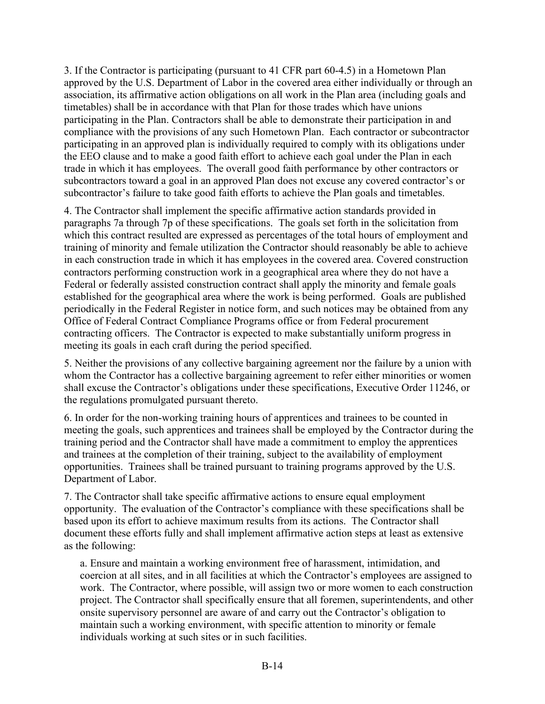3. If the Contractor is participating (pursuant to 41 CFR part 60-4.5) in a Hometown Plan approved by the U.S. Department of Labor in the covered area either individually or through an association, its affirmative action obligations on all work in the Plan area (including goals and timetables) shall be in accordance with that Plan for those trades which have unions participating in the Plan. Contractors shall be able to demonstrate their participation in and compliance with the provisions of any such Hometown Plan. Each contractor or subcontractor participating in an approved plan is individually required to comply with its obligations under the EEO clause and to make a good faith effort to achieve each goal under the Plan in each trade in which it has employees. The overall good faith performance by other contractors or subcontractors toward a goal in an approved Plan does not excuse any covered contractor's or subcontractor's failure to take good faith efforts to achieve the Plan goals and timetables.

4. The Contractor shall implement the specific affirmative action standards provided in paragraphs 7a through 7p of these specifications. The goals set forth in the solicitation from which this contract resulted are expressed as percentages of the total hours of employment and training of minority and female utilization the Contractor should reasonably be able to achieve in each construction trade in which it has employees in the covered area. Covered construction contractors performing construction work in a geographical area where they do not have a Federal or federally assisted construction contract shall apply the minority and female goals established for the geographical area where the work is being performed. Goals are published periodically in the Federal Register in notice form, and such notices may be obtained from any Office of Federal Contract Compliance Programs office or from Federal procurement contracting officers. The Contractor is expected to make substantially uniform progress in meeting its goals in each craft during the period specified.

5. Neither the provisions of any collective bargaining agreement nor the failure by a union with whom the Contractor has a collective bargaining agreement to refer either minorities or women shall excuse the Contractor's obligations under these specifications, Executive Order 11246, or the regulations promulgated pursuant thereto.

6. In order for the non-working training hours of apprentices and trainees to be counted in meeting the goals, such apprentices and trainees shall be employed by the Contractor during the training period and the Contractor shall have made a commitment to employ the apprentices and trainees at the completion of their training, subject to the availability of employment opportunities. Trainees shall be trained pursuant to training programs approved by the U.S. Department of Labor.

7. The Contractor shall take specific affirmative actions to ensure equal employment opportunity. The evaluation of the Contractor's compliance with these specifications shall be based upon its effort to achieve maximum results from its actions. The Contractor shall document these efforts fully and shall implement affirmative action steps at least as extensive as the following:

a. Ensure and maintain a working environment free of harassment, intimidation, and coercion at all sites, and in all facilities at which the Contractor's employees are assigned to work. The Contractor, where possible, will assign two or more women to each construction project. The Contractor shall specifically ensure that all foremen, superintendents, and other onsite supervisory personnel are aware of and carry out the Contractor's obligation to maintain such a working environment, with specific attention to minority or female individuals working at such sites or in such facilities.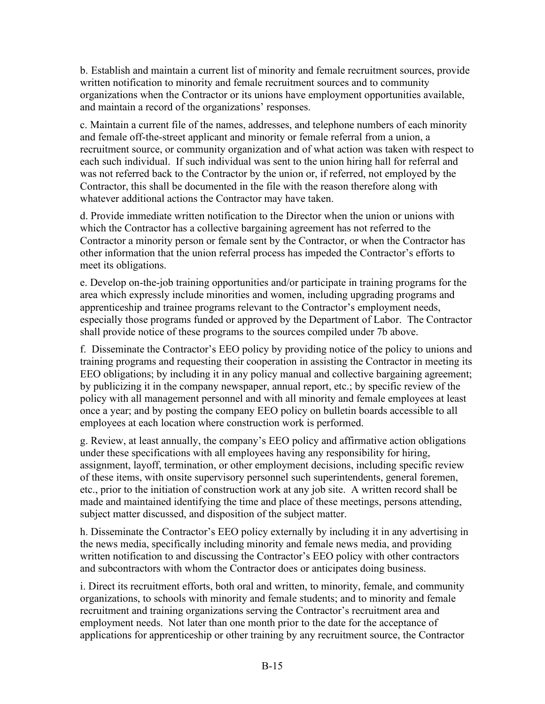b. Establish and maintain a current list of minority and female recruitment sources, provide written notification to minority and female recruitment sources and to community organizations when the Contractor or its unions have employment opportunities available, and maintain a record of the organizations' responses.

c. Maintain a current file of the names, addresses, and telephone numbers of each minority and female off-the-street applicant and minority or female referral from a union, a recruitment source, or community organization and of what action was taken with respect to each such individual. If such individual was sent to the union hiring hall for referral and was not referred back to the Contractor by the union or, if referred, not employed by the Contractor, this shall be documented in the file with the reason therefore along with whatever additional actions the Contractor may have taken.

d. Provide immediate written notification to the Director when the union or unions with which the Contractor has a collective bargaining agreement has not referred to the Contractor a minority person or female sent by the Contractor, or when the Contractor has other information that the union referral process has impeded the Contractor's efforts to meet its obligations.

e. Develop on-the-job training opportunities and/or participate in training programs for the area which expressly include minorities and women, including upgrading programs and apprenticeship and trainee programs relevant to the Contractor's employment needs, especially those programs funded or approved by the Department of Labor. The Contractor shall provide notice of these programs to the sources compiled under 7b above.

f. Disseminate the Contractor's EEO policy by providing notice of the policy to unions and training programs and requesting their cooperation in assisting the Contractor in meeting its EEO obligations; by including it in any policy manual and collective bargaining agreement; by publicizing it in the company newspaper, annual report, etc.; by specific review of the policy with all management personnel and with all minority and female employees at least once a year; and by posting the company EEO policy on bulletin boards accessible to all employees at each location where construction work is performed.

g. Review, at least annually, the company's EEO policy and affirmative action obligations under these specifications with all employees having any responsibility for hiring, assignment, layoff, termination, or other employment decisions, including specific review of these items, with onsite supervisory personnel such superintendents, general foremen, etc., prior to the initiation of construction work at any job site. A written record shall be made and maintained identifying the time and place of these meetings, persons attending, subject matter discussed, and disposition of the subject matter.

h. Disseminate the Contractor's EEO policy externally by including it in any advertising in the news media, specifically including minority and female news media, and providing written notification to and discussing the Contractor's EEO policy with other contractors and subcontractors with whom the Contractor does or anticipates doing business.

i. Direct its recruitment efforts, both oral and written, to minority, female, and community organizations, to schools with minority and female students; and to minority and female recruitment and training organizations serving the Contractor's recruitment area and employment needs. Not later than one month prior to the date for the acceptance of applications for apprenticeship or other training by any recruitment source, the Contractor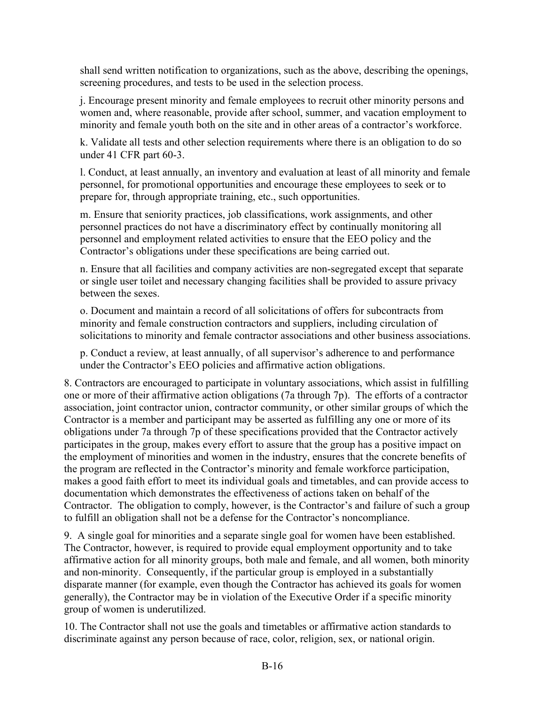shall send written notification to organizations, such as the above, describing the openings, screening procedures, and tests to be used in the selection process.

j. Encourage present minority and female employees to recruit other minority persons and women and, where reasonable, provide after school, summer, and vacation employment to minority and female youth both on the site and in other areas of a contractor's workforce.

k. Validate all tests and other selection requirements where there is an obligation to do so under 41 CFR part 60-3.

l. Conduct, at least annually, an inventory and evaluation at least of all minority and female personnel, for promotional opportunities and encourage these employees to seek or to prepare for, through appropriate training, etc., such opportunities.

m. Ensure that seniority practices, job classifications, work assignments, and other personnel practices do not have a discriminatory effect by continually monitoring all personnel and employment related activities to ensure that the EEO policy and the Contractor's obligations under these specifications are being carried out.

n. Ensure that all facilities and company activities are non-segregated except that separate or single user toilet and necessary changing facilities shall be provided to assure privacy between the sexes.

o. Document and maintain a record of all solicitations of offers for subcontracts from minority and female construction contractors and suppliers, including circulation of solicitations to minority and female contractor associations and other business associations.

p. Conduct a review, at least annually, of all supervisor's adherence to and performance under the Contractor's EEO policies and affirmative action obligations.

8. Contractors are encouraged to participate in voluntary associations, which assist in fulfilling one or more of their affirmative action obligations (7a through 7p). The efforts of a contractor association, joint contractor union, contractor community, or other similar groups of which the Contractor is a member and participant may be asserted as fulfilling any one or more of its obligations under 7a through 7p of these specifications provided that the Contractor actively participates in the group, makes every effort to assure that the group has a positive impact on the employment of minorities and women in the industry, ensures that the concrete benefits of the program are reflected in the Contractor's minority and female workforce participation, makes a good faith effort to meet its individual goals and timetables, and can provide access to documentation which demonstrates the effectiveness of actions taken on behalf of the Contractor. The obligation to comply, however, is the Contractor's and failure of such a group to fulfill an obligation shall not be a defense for the Contractor's noncompliance.

9. A single goal for minorities and a separate single goal for women have been established. The Contractor, however, is required to provide equal employment opportunity and to take affirmative action for all minority groups, both male and female, and all women, both minority and non-minority. Consequently, if the particular group is employed in a substantially disparate manner (for example, even though the Contractor has achieved its goals for women generally), the Contractor may be in violation of the Executive Order if a specific minority group of women is underutilized.

10. The Contractor shall not use the goals and timetables or affirmative action standards to discriminate against any person because of race, color, religion, sex, or national origin.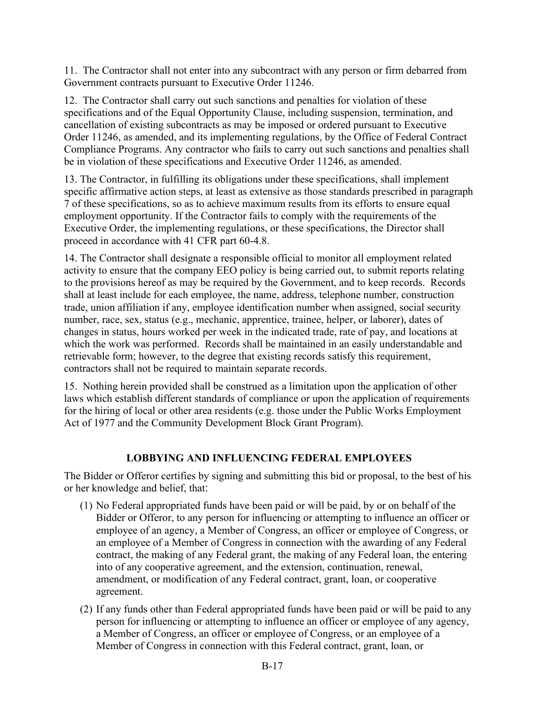11. The Contractor shall not enter into any subcontract with any person or firm debarred from Government contracts pursuant to Executive Order 11246.

12. The Contractor shall carry out such sanctions and penalties for violation of these specifications and of the Equal Opportunity Clause, including suspension, termination, and cancellation of existing subcontracts as may be imposed or ordered pursuant to Executive Order 11246, as amended, and its implementing regulations, by the Office of Federal Contract Compliance Programs. Any contractor who fails to carry out such sanctions and penalties shall be in violation of these specifications and Executive Order 11246, as amended.

13. The Contractor, in fulfilling its obligations under these specifications, shall implement specific affirmative action steps, at least as extensive as those standards prescribed in paragraph 7 of these specifications, so as to achieve maximum results from its efforts to ensure equal employment opportunity. If the Contractor fails to comply with the requirements of the Executive Order, the implementing regulations, or these specifications, the Director shall proceed in accordance with 41 CFR part 60-4.8.

14. The Contractor shall designate a responsible official to monitor all employment related activity to ensure that the company EEO policy is being carried out, to submit reports relating to the provisions hereof as may be required by the Government, and to keep records. Records shall at least include for each employee, the name, address, telephone number, construction trade, union affiliation if any, employee identification number when assigned, social security number, race, sex, status (e.g., mechanic, apprentice, trainee, helper, or laborer), dates of changes in status, hours worked per week in the indicated trade, rate of pay, and locations at which the work was performed. Records shall be maintained in an easily understandable and retrievable form; however, to the degree that existing records satisfy this requirement, contractors shall not be required to maintain separate records.

15. Nothing herein provided shall be construed as a limitation upon the application of other laws which establish different standards of compliance or upon the application of requirements for the hiring of local or other area residents (e.g. those under the Public Works Employment Act of 1977 and the Community Development Block Grant Program).

### **LOBBYING AND INFLUENCING FEDERAL EMPLOYEES**

The Bidder or Offeror certifies by signing and submitting this bid or proposal, to the best of his or her knowledge and belief, that:

- (1) No Federal appropriated funds have been paid or will be paid, by or on behalf of the Bidder or Offeror, to any person for influencing or attempting to influence an officer or employee of an agency, a Member of Congress, an officer or employee of Congress, or an employee of a Member of Congress in connection with the awarding of any Federal contract, the making of any Federal grant, the making of any Federal loan, the entering into of any cooperative agreement, and the extension, continuation, renewal, amendment, or modification of any Federal contract, grant, loan, or cooperative agreement.
- (2) If any funds other than Federal appropriated funds have been paid or will be paid to any person for influencing or attempting to influence an officer or employee of any agency, a Member of Congress, an officer or employee of Congress, or an employee of a Member of Congress in connection with this Federal contract, grant, loan, or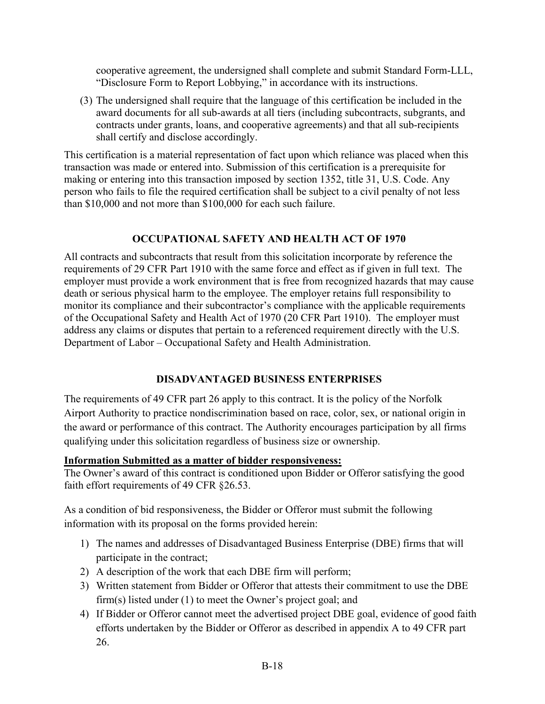cooperative agreement, the undersigned shall complete and submit Standard Form-LLL, "Disclosure Form to Report Lobbying," in accordance with its instructions.

(3) The undersigned shall require that the language of this certification be included in the award documents for all sub-awards at all tiers (including subcontracts, subgrants, and contracts under grants, loans, and cooperative agreements) and that all sub-recipients shall certify and disclose accordingly.

This certification is a material representation of fact upon which reliance was placed when this transaction was made or entered into. Submission of this certification is a prerequisite for making or entering into this transaction imposed by section 1352, title 31, U.S. Code. Any person who fails to file the required certification shall be subject to a civil penalty of not less than \$10,000 and not more than \$100,000 for each such failure.

### **OCCUPATIONAL SAFETY AND HEALTH ACT OF 1970**

All contracts and subcontracts that result from this solicitation incorporate by reference the requirements of 29 CFR Part 1910 with the same force and effect as if given in full text. The employer must provide a work environment that is free from recognized hazards that may cause death or serious physical harm to the employee. The employer retains full responsibility to monitor its compliance and their subcontractor's compliance with the applicable requirements of the Occupational Safety and Health Act of 1970 (20 CFR Part 1910). The employer must address any claims or disputes that pertain to a referenced requirement directly with the U.S. Department of Labor – Occupational Safety and Health Administration.

### **DISADVANTAGED BUSINESS ENTERPRISES**

The requirements of 49 CFR part 26 apply to this contract. It is the policy of the Norfolk Airport Authority to practice nondiscrimination based on race, color, sex, or national origin in the award or performance of this contract. The Authority encourages participation by all firms qualifying under this solicitation regardless of business size or ownership.

### **Information Submitted as a matter of bidder responsiveness:**

The Owner's award of this contract is conditioned upon Bidder or Offeror satisfying the good faith effort requirements of 49 CFR §26.53.

As a condition of bid responsiveness, the Bidder or Offeror must submit the following information with its proposal on the forms provided herein:

- 1) The names and addresses of Disadvantaged Business Enterprise (DBE) firms that will participate in the contract;
- 2) A description of the work that each DBE firm will perform;
- 3) Written statement from Bidder or Offeror that attests their commitment to use the DBE firm(s) listed under (1) to meet the Owner's project goal; and
- 4) If Bidder or Offeror cannot meet the advertised project DBE goal, evidence of good faith efforts undertaken by the Bidder or Offeror as described in appendix A to 49 CFR part 26.